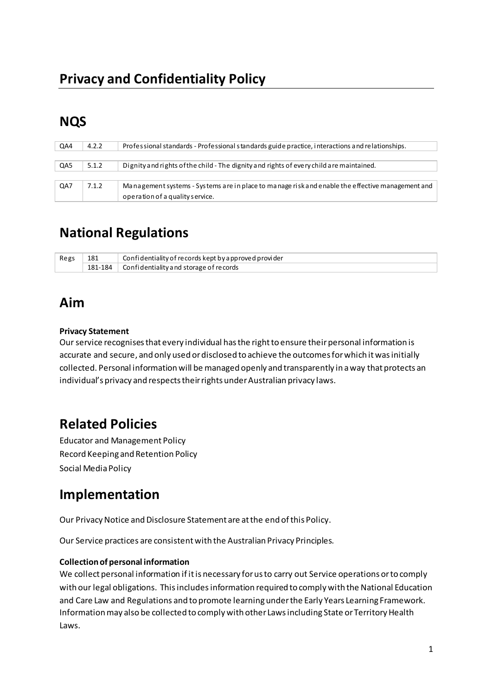# **NQS**

| QA4 | 4.2.2 | Professional standards - Professional standards guide practice, interactions and relationships.  |
|-----|-------|--------------------------------------------------------------------------------------------------|
|     |       |                                                                                                  |
| QA5 | 5.1.2 | Dignity and rights of the child - The dignity and rights of every child are maintained.          |
|     |       |                                                                                                  |
| QA7 | 7.1.2 | Management systems - Systems are in place to manage risk and enable the effective management and |
|     |       | operation of a quality service.                                                                  |

# **National Regulations**

| Regs | 181 | $\Box$ Confidentiality of records kept by a pproved provider |
|------|-----|--------------------------------------------------------------|
|      |     | $+181-184$ Confidentiality and storage of records            |

## **Aim**

### **Privacy Statement**

Our service recognises that every individual has the right to ensure their personal information is accurate and secure, and only used or disclosed to achieve the outcomes for which it was initially collected. Personal information will be managed openly and transparently in a way that protects an individual's privacy and respects their rights under Australian privacy laws.

## **Related Policies**

Educator and Management Policy Record Keeping and Retention Policy Social Media Policy

## **Implementation**

Our Privacy Notice and Disclosure Statement are at the end of this Policy.

Our Service practices are consistent with the Australian Privacy Principles.

### **Collection of personal information**

We collect personal information if it is necessary for us to carry out Service operations or to comply with our legal obligations. This includes information required to comply with the National Education and Care Law and Regulations and to promote learning under the Early Years Learning Framework. Information may also be collected to comply with other Laws including State or Territory Health Laws.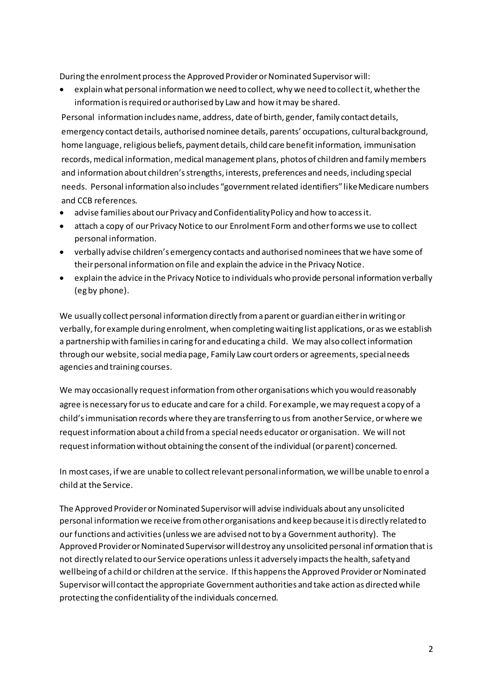During the enrolment process the Approved Provider or Nominated Supervisor will:

• explain what personal information we need to collect, why we need to collect it, whether the information is required or authorised by Law and how it may be shared.

Personal information includes name, address, date of birth, gender, family contact details, emergency contact details, authorised nominee details, parents' occupations, cultural background, home language, religious beliefs, payment details, child care benefit information, immunisation records, medical information, medical management plans, photos of children and family members and information about children's strengths, interests, preferences and needs, including special needs. Personal information also includes "government related identifiers" like Medicare numbers and CCB references.

- advise families about our Privacy and Confidentiality Policy and how to access it.
- attach a copy of our Privacy Notice to our Enrolment Form and other forms we use to collect personal information.
- verbally advise children's emergency contacts and authorised nominees that we have some of their personal information on file and explain the advice in the Privacy Notice.
- explain the advice in the Privacy Notice to individuals who provide personal information verbally (eg by phone).

We usually collect personal information directly from a parent or guardian either in writing or verbally, for example during enrolment, when completing waiting list applications, or as we establish a partnership with families in caring for and educating a child. We may also collect information through our website, social media page, Family Law court orders or agreements, special needs agencies and training courses.

We may occasionally request information from other organisations which you would reasonably agree is necessary for us to educate and care for a child. For example, we may request a copy of a child's immunisation records where they are transferring to us from another Service, or where we request information about a child from a special needs educator or organisation. We will not request information without obtaining the consent of the individual (or parent) concerned.

In most cases, if we are unable to collect relevant personal information, we will be unable to enrol a child at the Service.

The Approved Provider or Nominated Supervisor will advise individuals about any unsolicited personal information we receive from other organisations and keep because it is directly related to our functions and activities (unless we are advised not to by a Government authority). The Approved Provider or Nominated Supervisor will destroy any unsolicited personal inf ormation that is not directly related to our Service operations unless it adversely impacts the health, safety and wellbeing of a child or children at the service. If this happens the Approved Provider or Nominated Supervisor will contact the appropriate Government authorities and take action as directed while protecting the confidentiality of the individuals concerned.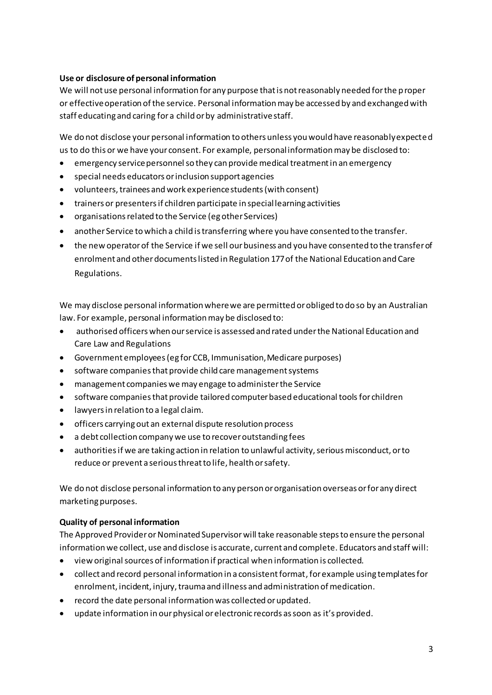### **Use or disclosure of personal information**

We will not use personal information for any purpose that is not reasonably needed for the p roper or effective operation of the service. Personal information may be accessed by and exchanged with staff educating and caring for a child or by administrative staff.

We do not disclose your personal information to others unless you would have reasonably expected us to do this or we have your consent. For example, personal information may be disclosed to:

- emergency service personnel so they can provide medical treatment in an emergency
- special needs educators or inclusion support agencies
- volunteers, trainees and work experience students (with consent)
- trainers or presenters if children participate in special learning activities
- organisations related to the Service (eg other Services)
- another Service to which a child is transferring where you have consented to the transfer.
- the new operator of the Service if we sell our business and you have consented to the transfer of enrolment and other documents listed in Regulation 177 of the National Education and Care Regulations.

We may disclose personal information where we are permitted or obliged to do so by an Australian law. For example, personal information may be disclosed to:

- authorised officers when our service is assessed and rated under the National Education and Care Law and Regulations
- Government employees (eg for CCB, Immunisation, Medicare purposes)
- software companies that provide child care management systems
- management companies we may engage to administer the Service
- software companies that provide tailored computer based educational tools for children
- lawyers in relation to a legal claim.
- officers carrying out an external dispute resolution process
- a debt collection company we use to recover outstanding fees
- authorities if we are taking action in relation to unlawful activity, serious misconduct, or to reduce or prevent a serious threat to life, health or safety.

We do not disclose personal information to any person or organisation overseas or for any direct marketing purposes.

#### **Quality of personal information**

The Approved Provider or Nominated Supervisor will take reasonable steps to ensure the personal information we collect, use and disclose is accurate, current and complete. Educators and staff will:

- view original sources of information if practical when information is collected.
- collect and record personal information in a consistent format, for example using templates for enrolment, incident, injury, trauma and illness and administration of medication.
- record the date personal information was collected or updated.
- update information in our physical or electronic records as soon as it's provided.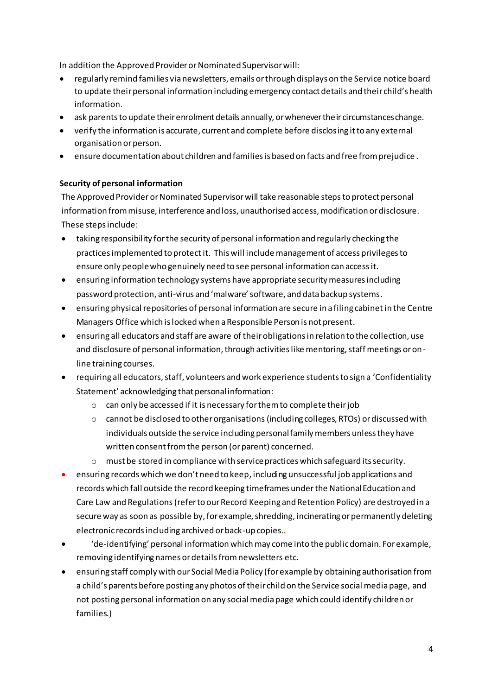In addition the Approved Provider or Nominated Supervisor will:

- regularly remind families via newsletters, emails or through displays on the Service notice board to update their personal information including emergency contact details and their child's health information.
- ask parents to update their enrolment details annually, or whenever the ir circumstances change.
- verify the information is accurate, current and complete before disclosing it to any external organisation or person.
- ensure documentation about children and families is based on facts and free from prejudice .

### **Security of personal information**

The Approved Provider or Nominated Supervisor will take reasonable steps to protect personal information from misuse, interference and loss, unauthorised access, modification or disclosure. These steps include:

- taking responsibility for the security of personal information and regularly checking the practices implemented to protect it. This will include management of access privileges to ensure only people who genuinely need to see personal information can access it.
- ensuring information technology systems have appropriate security measures including password protection, anti-virus and 'malware' software, and data backup systems.
- ensuring physical repositories of personal information are secure in a filing cabinet in the Centre Managers Office which is locked when a Responsible Person is not present.
- ensuring all educators and staff are aware of their obligations in relation to the collection, use and disclosure of personal information, through activities like mentoring, staff meetings or online training courses.
- requiring all educators, staff, volunteers and work experience students to sign a 'Confidentiality Statement' acknowledging that personal information:
	- o can only be accessed if it is necessary for them to complete their job
	- $\circ$  cannot be disclosed to other organisations (including colleges, RTOs) or discussed with individuals outside the service including personal family members unless they have written consent from the person (or parent) concerned.
	- $\circ$  must be stored in compliance with service practices which safeguard its security.
- ensuring records which we don't need to keep, including unsuccessful job applications and records which fall outside the record keeping timeframes under the National Education and Care Law and Regulations (refer to our Record Keeping and Retention Policy) are destroyed in a secure way as soon as possible by, for example, shredding, incinerating or permanently deleting electronic records including archived or back-up copies..
- $\bullet$  'de-identifying' personal information which may come into the public domain. For example, removing identifying names or details from newsletters etc.
- ensuring staff comply with our Social Media Policy (for example by obtaining authorisation from a child's parents before posting any photos of their child on the Service social media page, and not posting personal information on any social media page which could identify children or families.)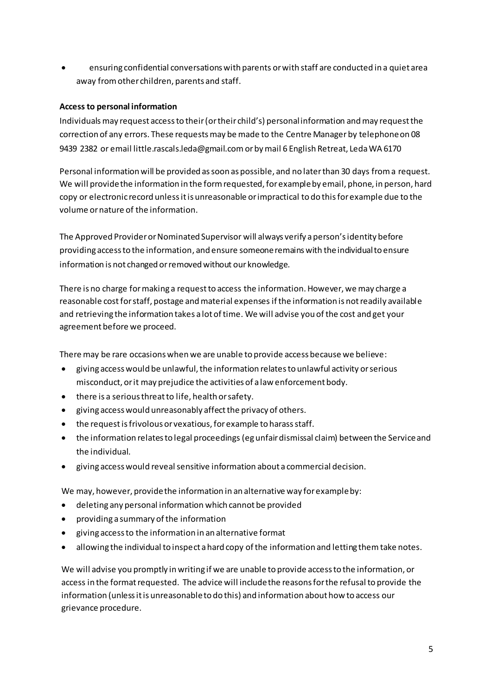• ensuring confidential conversations with parents or with staff are conducted in a quiet area away from other children, parents and staff.

### **Access to personal information**

Individuals may request access to their (or their child's) personal information and may request the correction of any errors. These requests may be made to the Centre Manager by telephone on 08 9439 2382 or email little.rascals.leda@gmail.com or by mail 6 English Retreat, Leda WA 6170

Personal information will be provided as soon as possible, and no later than 30 days from a request. We will provide the information in the form requested, for example by email, phone, in person, hard copy or electronic record unless it is unreasonable or impractical to do this for example due to the volume or nature of the information.

The Approved Provider or Nominated Supervisor will always verify a person's identity before providing access to the information, and ensure someone remains with the individual to ensure information is not changed or removed without our knowledge.

There is no charge for making a request to access the information. However, we may charge a reasonable cost for staff, postage and material expenses if the information is not readily available and retrieving the information takes a lot of time. We will advise you of the cost and get your agreement before we proceed.

There may be rare occasions when we are unable to provide access because we believe:

- giving access would be unlawful, the information relates to unlawful activity or serious misconduct, or it may prejudice the activities of a law enforcement body.
- there is a serious threat to life, health or safety.
- giving access would unreasonably affect the privacy of others.
- the request is frivolous or vexatious, for example to harass staff.
- the information relates to legal proceedings (eg unfair dismissal claim) between the Service and the individual.
- giving access would reveal sensitive information about a commercial decision.

We may, however, provide the information in an alternative way for example by:

- deleting any personal information which cannot be provided
- providing a summary of the information
- giving access to the information in an alternative format
- allowing the individual to inspect a hard copy of the information and letting them take notes.

We will advise you promptly in writing if we are unable to provide access to the information, or access in the format requested. The advice will include the reasons for the refusal to provide the information (unless it is unreasonable to do this) and information about how to access our grievance procedure.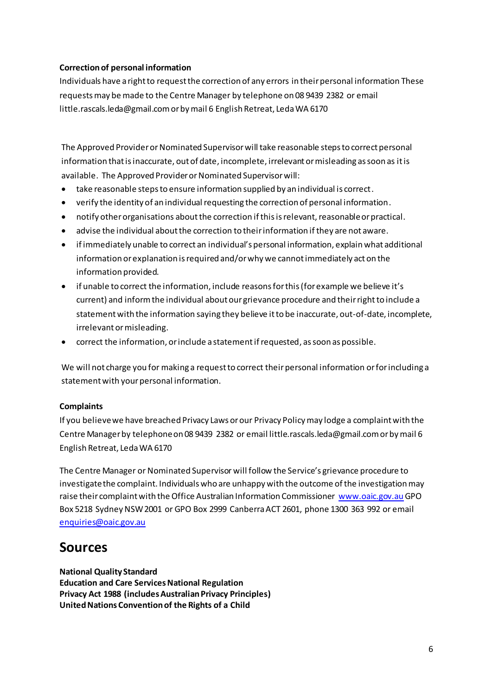### **Correction of personal information**

Individuals have a right to request the correction of any errors in their personal information These requests may be made to the Centre Manager by telephone on 08 9439 2382 or email little.rascals.leda@gmail.com or by mail 6 English Retreat, Leda WA 6170

The Approved Provider or Nominated Supervisor will take reasonable steps to correct personal information that is inaccurate, out of date, incomplete, irrelevant or misleading as soon as it is available. The Approved Provider or Nominated Supervisor will:

- take reasonable steps to ensure information supplied by an individual is correct.  $\bullet$
- verify the identity of an individual requesting the correction of personal information.  $\bullet$
- notify other organisations about the correction if this is relevant, reasonable or practical.  $\bullet$
- advise the individual about the correction to their information if they are not aware.  $\bullet$
- if immediately unable to correct an individual's personal information, explain what additional  $\bullet$ information or explanation is required and/or why we cannot immediately act on the information provided.
- if unable to correct the information, include reasons for this (for example we believe it's current) and inform the individual about our grievance procedure and their right to include a statement with the information saying they believe it to be inaccurate, out-of-date, incomplete, irrelevant or misleading.
- correct the information, or include a statement if requested, as soon as possible.

We will not charge you for making a request to correct their personal information or for including a statement with your personal information.

#### **Complaints**

If you believe we have breached Privacy Laws or our Privacy Policy may lodge a complaint with the Centre Manager by telephone on 08 9439 2382 or email little.rascals.leda@gmail.com or by mail 6 English Retreat, Leda WA 6170

The Centre Manager or Nominated Supervisor will follow the Service's grievance procedure to investigate the complaint. Individuals who are unhappy with the outcome of the investigation may raise their complaint with the Office Australian Information Commissioner www.oaic.gov.au GPO Box 5218 Sydney NSW 2001 or GPO Box 2999 Canberra ACT 2601, phone 1300 363 992 or email enquiries@oaic.gov.au

## **Sources**

#### **National Quality Standard**

**Education and Care Services National Regulation** Privacy Act 1988 (includes Australian Privacy Principles) United Nations Convention of the Rights of a Child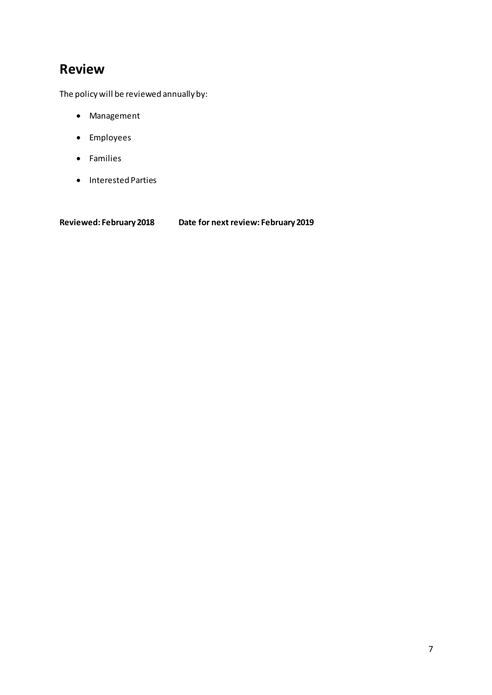## **Review**

The policy will be reviewed annually by:

- Management
- Employees
- Families
- Interested Parties

**Reviewed: February 2018 Date for next review: February 2019**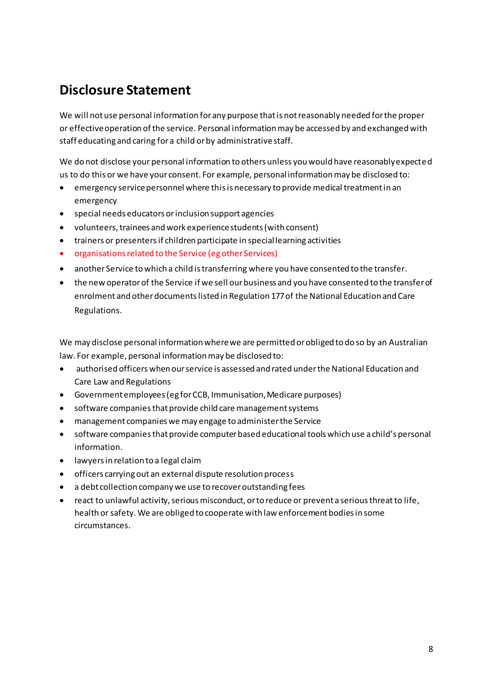## **Disclosure Statement**

We will not use personal information for any purpose that is not reasonably needed for the proper or effective operation of the service. Personal information may be accessed by and exchanged with staff educating and caring for a child or by administrative staff.

We do not disclose your personal information to others unless you would have reasonably expected us to do this or we have your consent. For example, personal information may be disclosed to:

- emergency service personnel where this is necessary to provide medical treatment in an emergency
- special needs educators or inclusion support agencies
- volunteers, trainees and work experience students (with consent)
- trainers or presenters if children participate in special learning activities
- organisations related to the Service (eg other Services)
- another Service to which a child is transferring where you have consented to the transfer.
- the new operator of the Service if we sell our business and you have consented to the transfer of enrolment and other documents listed in Regulation 177 of the National Education and Care Regulations.

We may disclose personal information where we are permitted or obliged to do so by an Australian law. For example, personal information may be disclosed to:

- authorised officers when our service is assessed and rated under the National Education and Care Law and Regulations
- Government employees (eg for CCB, Immunisation, Medicare purposes)
- software companies that provide child care management systems
- management companies we may engage to administer the Service
- software companies that provide computer based educational tools which use a child's personal information.
- lawyers in relation to a legal claim
- officers carrying out an external dispute resolution process
- a debt collection company we use to recover outstanding fees
- react to unlawful activity, serious misconduct, or to reduce or prevent a serious threat to life, health or safety. We are obliged to cooperate with law enforcement bodies in some circumstances.